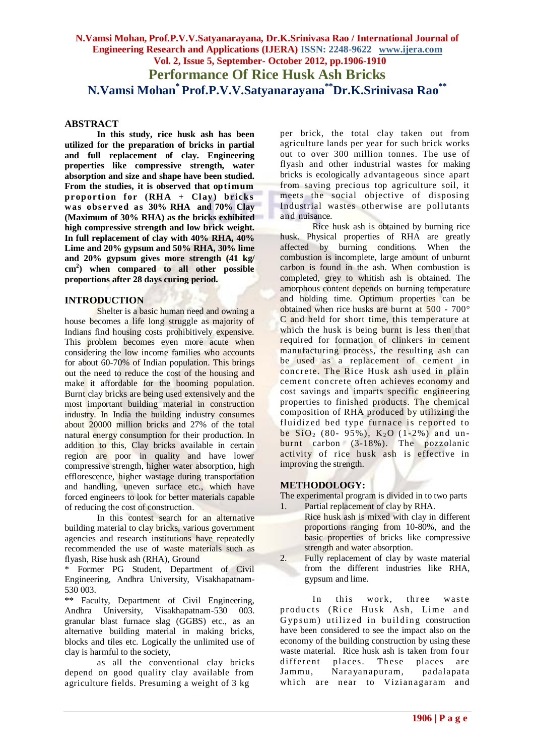# **N.Vamsi Mohan, Prof.P.V.V.Satyanarayana, Dr.K.Srinivasa Rao / International Journal of Engineering Research and Applications (IJERA) ISSN: 2248-9622 www.ijera.com Vol. 2, Issue 5, September- October 2012, pp.1906-1910 Performance Of Rice Husk Ash Bricks N.Vamsi Mohan\* Prof.P.V.V.Satyanarayana\*\*Dr.K.Srinivasa Rao\*\***

#### **ABSTRACT**

**In this study, rice husk ash has been utilized for the preparation of bricks in partial and full replacement of clay. Engineering properties like compressive strength, water absorption and size and shape have been studied.**  From the studies, it is observed that optimum proportion for  $(RHA + Clay)$  bricks was observed as 30% RHA and 70% Clay **(Maximum of 30% RHA) as the bricks exhibited high compressive strength and low brick weight. In full replacement of clay with 40% RHA, 40% Lime and 20% gypsum and 50% RHA, 30% lime and 20% gypsum gives more strength (41 kg/ cm<sup>2</sup> ) when compared to all other possible proportions after 28 days curing period.**

#### **INTRODUCTION**

Shelter is a basic human need and owning a house becomes a life long struggle as majority of Indians find housing costs prohibitively expensive. This problem becomes even more acute when considering the low income families who accounts for about 60-70% of Indian population. This brings out the need to reduce the cost of the housing and make it affordable for the booming population. Burnt clay bricks are being used extensively and the most important building material in construction industry. In India the building industry consumes about 20000 million bricks and 27% of the total natural energy consumption for their production. In addition to this, Clay bricks available in certain region are poor in quality and have lower compressive strength, higher water absorption, high efflorescence, higher wastage during transportation and handling, uneven surface etc., which have forced engineers to look for better materials capable of reducing the cost of construction.

In this contest search for an alternative building material to clay bricks, various government agencies and research institutions have repeatedly recommended the use of waste materials such as flyash, Rise husk ash (RHA), Ground

\* Former PG Student, Department of Civil Engineering, Andhra University, Visakhapatnam-530 003.

\*\* Faculty, Department of Civil Engineering, Andhra University, Visakhapatnam-530 003. granular blast furnace slag (GGBS) etc., as an alternative building material in making bricks, blocks and tiles etc. Logically the unlimited use of clay is harmful to the society,

as all the conventional clay bricks depend on good quality clay available from agriculture fields. Presuming a weight of 3 kg

per brick, the total clay taken out from agriculture lands per year for such brick works out to over 300 million tonnes. The use of flyash and other industrial wastes for making bricks is ecologically advantageous since apart from saving precious top agriculture soil, it meets the social objective of disposing Industrial wastes otherwise are pollutants and nuisance.

Rice husk ash is obtained by burning rice husk. Physical properties of RHA are greatly affected by burning conditions. When the combustion is incomplete, large amount of unburnt carbon is found in the ash. When combustion is completed, grey to whitish ash is obtained. The amorphous content depends on burning temperature and holding time. Optimum properties can be obtained when rice husks are burnt at 500 - 700° C and held for short time, this temperature at which the husk is being burnt is less then that required for formation of clinkers in cement manufacturing process, the resulting ash can be used as a replacement of cement in concrete. The Rice Husk ash used in plain cement concrete often achieves economy and cost savings and imparts specific engineering properties to finished products. The chemical composition of RHA produced by utilizing the fluidized bed type furnace is reported to be  $SiO_2$  (80- 95%),  $K_2O$  (1-2%) and unbe  $SU_2$  ( $\omega$ - $\sigma$ ),  $N_2$  ( $\sigma$ - $\sigma$ ),  $\sigma$ - $\sigma$ ). The pozzolanic activity of rice husk ash is effective in improving the strength.

### **METHODOLOGY:**

The experimental program is divided in to two parts

- 1. Partial replacement of clay by RHA. Rice husk ash is mixed with clay in different proportions ranging from 10-80%, and the basic properties of bricks like compressive strength and water absorption.
- 2. Fully replacement of clay by waste material from the different industries like RHA, gypsum and lime.

In this work, three waste products (Rice Husk Ash, Lime and Gypsum) utilized in building construction have been considered to see the impact also on the economy of the building construction by using these waste material. Rice husk ash is taken from four<br>different places. These places are different places. These places Jammu, Narayanapuram, padalapata which are near to Vizianagaram and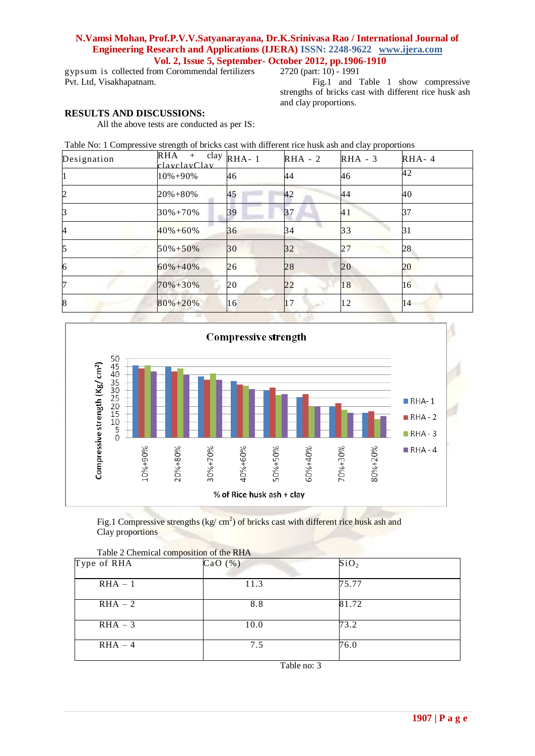# **N.Vamsi Mohan, Prof.P.V.V.Satyanarayana, Dr.K.Srinivasa Rao / International Journal of Engineering Research and Applications (IJERA) ISSN: 2248-9622 www.ijera.com Vol. 2, Issue 5, September- October 2012, pp.1906-1910**

gypsum is collected from Corommendal fertilizers Pvt. Ltd, Visakhapatnam.

### 2720 (part: 10) - 1991

Fig.1 and Table 1 show compressive strengths of bricks cast with different rice husk ash and clay proportions.

# **RESULTS AND DISCUSSIONS:**

All the above tests are conducted as per IS:

Table No: 1 Compressive strength of bricks cast with different rice husk ash and clay proportions

| Designation    | RHA<br>$^{+}$<br>clavelayClay | clay $RHA-1$ | $RHA - 2$ | $RHA - 3$ | $RHA-4$ |
|----------------|-------------------------------|--------------|-----------|-----------|---------|
|                | 10%+90%                       | 46           | 44        | 46        | 42      |
| $\overline{c}$ | 20%+80%                       | 45           | 42        | 44        | 40      |
| 3              | $30\% + 70\%$                 | 39           | 37        | 41        | 37      |
| 4              | $40\% + 60\%$                 | 36           | 34        | 33        | 31      |
| 5              | $50\% + 50\%$                 | 30           | 32        | 27        | 28      |
| 6              | $60\% + 40\%$                 | 26           | 28        | 20        | 20      |
|                | 70%+30%                       | 20           | 22        | 18        | 16      |
| 8              | $80\% + 20\%$                 | 16           | 7         | 12        | 14      |



Fig.1 Compressive strengths (kg/ cm<sup>2</sup>) of bricks cast with different rice husk ash and Clay proportions

| Type of RHA | Table 2 Chemical composition of the RHA<br>CaO(%) | SiO <sub>2</sub> |  |
|-------------|---------------------------------------------------|------------------|--|
| $RHA - 1$   | 11.3                                              | 75.77            |  |
|             |                                                   |                  |  |
| $RHA - 2$   | 8.8                                               | 81.72            |  |
| $RHA - 3$   | 10.0                                              | 73.2             |  |
| $RHA - 4$   | 7.5                                               | 76.0             |  |

Table 2 Chemical composition of the RHA

Table no: 3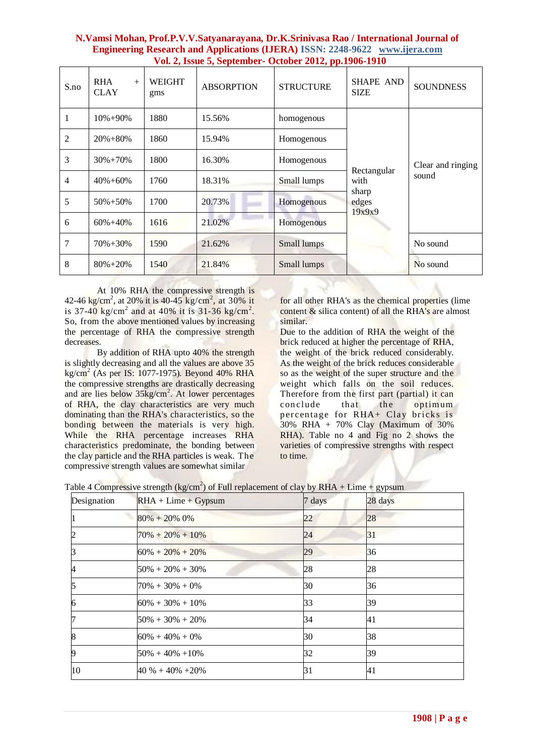| N. Vamsi Mohan, Prof.P.V.V. Satyanarayana, Dr.K. Sriniyasa Rao / International Journal of |  |
|-------------------------------------------------------------------------------------------|--|
| <b>Engineering Research and Applications (IJERA) ISSN: 2248-9622 www.ijera.com</b>        |  |
| Vol. 2, Issue 5, September - October 2012, pp.1906-1910                                   |  |

| S.no | <b>RHA</b><br>$+$<br><b>CLAY</b> | <b>WEIGHT</b><br>gms | <b>ABSORPTION</b> | <b>STRUCTURE</b> | <b>SHAPE AND</b><br><b>SIZE</b>                 | <b>SOUNDNESS</b>           |
|------|----------------------------------|----------------------|-------------------|------------------|-------------------------------------------------|----------------------------|
| 1    | $10\% + 90\%$                    | 1880                 | 15.56%            | homogenous       |                                                 |                            |
| 2    | $20\% + 80\%$                    | 1860                 | 15.94%            | Homogenous       |                                                 | Clear and ringing<br>sound |
| 3    | $30\% + 70\%$                    | 1800                 | 16.30%            | Homogenous       | Rectangular<br>with<br>sharp<br>edges<br>19x9x9 |                            |
| 4    | $40\% + 60\%$                    | 1760                 | 18.31%            | Small lumps      |                                                 |                            |
| 5    | $50\% + 50\%$                    | 1700                 | 20.73%            | Homogenous       |                                                 |                            |
| 6    | $60\% + 40\%$                    | 1616                 | 21.02%            | Homogenous       |                                                 |                            |
| 7    | $70\% + 30\%$                    | 1590                 | 21.62%            | Small lumps      |                                                 | No sound                   |
| 8    | $80\% + 20\%$                    | 1540                 | 21.84%            | Small lumps      |                                                 | No sound                   |

At 10% RHA the compressive strength is 42-46 kg/cm<sup>2</sup>, at 20% it is 40-45 kg/cm<sup>2</sup>, at 30% it is 37-40 kg/cm<sup>2</sup> and at 40% it is 31-36 kg/cm<sup>2</sup>. So, from the above mentioned values by increasing the percentage of RHA the compressive strength decreases.

By addition of RHA upto 40% the strength is slightly decreasing and all the values are above 35 kg/cm<sup>2</sup> (As per IS: 1077-1975). Beyond 40% RHA the compressive strengths are drastically decreasing and are lies below 35kg/cm<sup>2</sup>. At lower percentages of RHA, the clay characteristics are very much dominating than the RHA's characteristics, so the bonding between the materials is very high. While the RHA percentage increases RHA characteristics predominate, the bonding between the clay particle and the RHA particles is weak. The compressive strength values are somewhat similar

for all other RHA's as the chemical properties (lime content & silica content) of all the RHA's are almost similar.

Due to the addition of RHA the weight of the brick reduced at higher the percentage of RHA, the weight of the brick reduced considerably. As the weight of the brick reduces considerable so as the weight of the super structure and the weight which falls on the soil reduces. Therefore from the first part (partial) it can<br>conclude that the optimum conclude that the optimum percentage for RHA+ Clay bricks is 30% RHA + 70% Clay (Maximum of 30% RHA). Table no 4 and Fig no 2 shows the varieties of compressive strengths with respect to time.

|  | Table 4 Compressive strength (kg/cm <sup>2</sup> ) of Full replacement of clay by RHA + Lime + gypsum |
|--|-------------------------------------------------------------------------------------------------------|

| Designation | $RHA + Lime + Gypsum$ | 7 days | 28 days |
|-------------|-----------------------|--------|---------|
|             | $80\% + 20\%$ 0\%     | 22     | 28      |
|             | $70\% + 20\% + 10\%$  | 24     | 31      |
|             | $60\% + 20\% + 20\%$  | 29     | 36      |
| 4           | $50\% + 20\% + 30\%$  | 28     | 28      |
|             | $70\% + 30\% + 0\%$   | 30     | 36      |
| 6           | $60\% + 30\% + 10\%$  | 33     | 39      |
|             | $50\% + 30\% + 20\%$  | 34     | 41      |
| 8           | $60\% + 40\% + 0\%$   | 30     | 38      |
| 9           | $50\% + 40\% + 10\%$  | 32     | 39      |
| 10          | $40\% + 40\% + 20\%$  | 31     | 41      |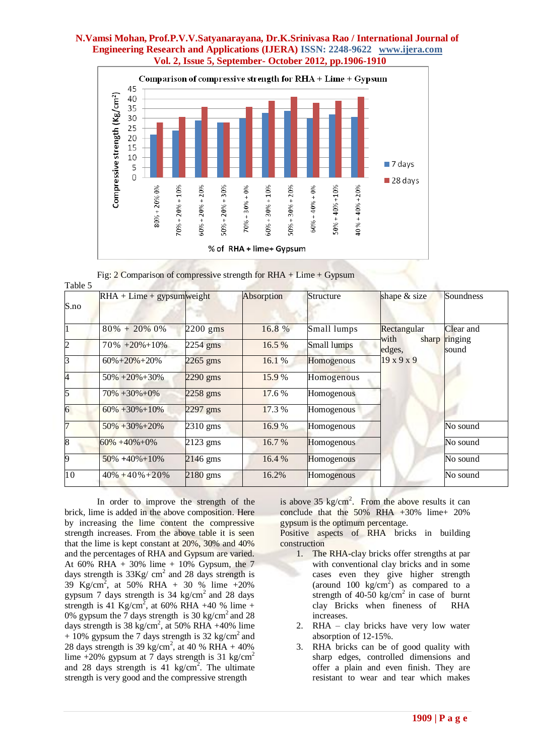### **N.Vamsi Mohan, Prof.P.V.V.Satyanarayana, Dr.K.Srinivasa Rao / International Journal of Engineering Research and Applications (IJERA) ISSN: 2248-9622 www.ijera.com Vol. 2, Issue 5, September- October 2012, pp.1906-1910**



Fig:  $2$  Comparison of compressive strength for RHA + Lime + Gypsum

|      | $RHA + Lime + gypsum weight$ |            | Absorption | <b>Structure</b>   | shape & size            | Soundness        |
|------|------------------------------|------------|------------|--------------------|-------------------------|------------------|
| S.no |                              |            |            |                    |                         |                  |
|      | $80\% + 20\% 0\%$            | $2200$ gms | 16.8 %     | Small lumps        | Rectangular             | Clear and        |
|      | $70\% + 20\% + 10\%$         | $2254$ gms | 16.5 %     | <b>Small lumps</b> | with<br>sharp<br>edges, | ringing<br>sound |
|      | $60\% + 20\% + 20\%$         | $2265$ gms | 16.1%      | Homogenous         | $19 \times 9 \times 9$  |                  |
|      | $50\% + 20\% + 30\%$         | $2290$ gms | 15.9%      | Homogenous         |                         |                  |
| 5    | $70\% + 30\% + 0\%$          | 2258 gms   | 17.6 %     | Homogenous         |                         |                  |
| 6    | $60\% + 30\% + 10\%$         | $2297$ gms | 17.3 %     | Homogenous         |                         |                  |
|      | $50\% + 30\% + 20\%$         | 2310 gms   | 16.9%      | Homogenous         |                         | No sound         |
| 8    | $60\% + 40\% + 0\%$          | 2123 gms   | 16.7 %     | Homogenous         |                         | No sound         |
| 9    | $50\% + 40\% + 10\%$         | $2146$ gms | 16.4 %     | Homogenous         |                         | No sound         |
| 10   | $40\% + 40\% + 20\%$         | $2180$ gms | 16.2%      | Homogenous         |                         | No sound         |

In order to improve the strength of the brick, lime is added in the above composition. Here by increasing the lime content the compressive strength increases. From the above table it is seen that the lime is kept constant at 20%, 30% and 40% and the percentages of RHA and Gypsum are varied. At 60% RHA + 30% lime + 10% Gypsum, the 7 days strength is  $33\text{Kg/cm}^2$  and 28 days strength is 39 Kg/cm<sup>2</sup> , at 50% RHA + 30 % lime +20% gypsum 7 days strength is  $34 \text{ kg/cm}^2$  and  $28 \text{ days}$ strength is 41 Kg/cm<sup>2</sup>, at 60% RHA +40 % lime + 0% gypsum the  $\frac{7}{3}$  days strength is 30 kg/cm<sup>2</sup> and 28 days strength is 38 kg/cm<sup>2</sup>, at 50% RHA +40% lime  $+ 10\%$  gypsum the 7 days strength is 32 kg/cm<sup>2</sup> and 28 days strength is 39 kg/cm<sup>2</sup>, at 40 % RHA + 40% lime +20% gypsum at 7 days strength is 31 kg/cm<sup>2</sup> and 28 days strength is  $41 \text{ kg/cm}^2$ . The ultimate strength is very good and the compressive strength

is above  $35 \text{ kg/cm}^2$ . From the above results it can conclude that the 50% RHA +30% lime+ 20% gypsum is the optimum percentage.

Positive aspects of RHA bricks in building construction

- 1. The RHA-clay bricks offer strengths at par with conventional clay bricks and in some cases even they give higher strength (around 100 kg/cm<sup>2</sup>) as compared to a strength of  $40-50$  kg/cm<sup>2</sup> in case of burnt clay Bricks when fineness of RHA increases.
- 2. RHA clay bricks have very low water absorption of 12-15%.
- 3. RHA bricks can be of good quality with sharp edges, controlled dimensions and offer a plain and even finish. They are resistant to wear and tear which makes